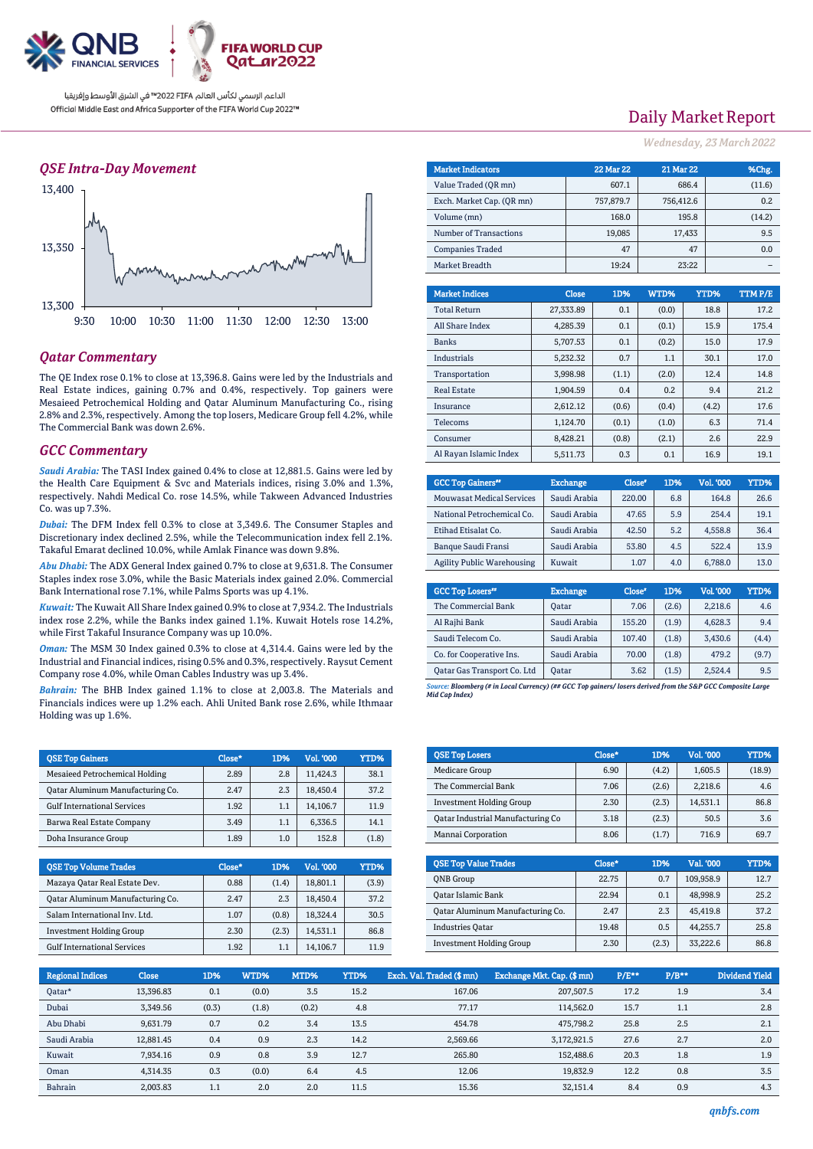

### *QSE Intra-Day Movement*



### *Qatar Commentary*

The QE Index rose 0.1% to close at 13,396.8. Gains were led by the Industrials and Real Estate indices, gaining 0.7% and 0.4%, respectively. Top gainers were Mesaieed Petrochemical Holding and Qatar Aluminum Manufacturing Co., rising 2.8% and 2.3%, respectively. Among the top losers, Medicare Group fell 4.2%, while The Commercial Bank was down 2.6%.

### *GCC Commentary*

*Saudi Arabia:* The TASI Index gained 0.4% to close at 12,881.5. Gains were led by the Health Care Equipment & Svc and Materials indices, rising 3.0% and 1.3%, respectively. Nahdi Medical Co. rose 14.5%, while Takween Advanced Industries Co. was up 7.3%.

*Dubai:* The DFM Index fell 0.3% to close at 3,349.6. The Consumer Staples and Discretionary index declined 2.5%, while the Telecommunication index fell 2.1%. Takaful Emarat declined 10.0%, while Amlak Finance was down 9.8%.

*Abu Dhabi:* The ADX General Index gained 0.7% to close at 9,631.8. The Consumer Staples index rose 3.0%, while the Basic Materials index gained 2.0%. Commercial Bank International rose 7.1%, while Palms Sports was up 4.1%.

*Kuwait:* The Kuwait All Share Index gained 0.9% to close at 7,934.2. The Industrials index rose 2.2%, while the Banks index gained 1.1%. Kuwait Hotels rose 14.2%, while First Takaful Insurance Company was up 10.0%.

*Oman:* The MSM 30 Index gained 0.3% to close at 4,314.4. Gains were led by the Industrial and Financial indices, rising 0.5% and 0.3%, respectively. Raysut Cement Company rose 4.0%, while Oman Cables Industry was up 3.4%.

*Bahrain:* The BHB Index gained 1.1% to close at 2,003.8. The Materials and Financials indices were up 1.2% each. Ahli United Bank rose 2.6%, while Ithmaar Holding was up 1.6%.

| <b>OSE Top Gainers</b>             | Close* | 1D% | Vol. '000 | YTD%  |
|------------------------------------|--------|-----|-----------|-------|
| Mesaieed Petrochemical Holding     | 2.89   | 2.8 | 11.424.3  | 38.1  |
| Oatar Aluminum Manufacturing Co.   | 2.47   | 2.3 | 18.450.4  | 37.2  |
| <b>Gulf International Services</b> | 1.92   | 1.1 | 14.106.7  | 11.9  |
| Barwa Real Estate Company          | 3.49   | 1.1 | 6,336.5   | 14.1  |
| Doha Insurance Group               | 1.89   | 1.0 | 152.8     | (1.8) |

| <b>OSE Top Volume Trades</b>       | Close* | 1D%   | Vol. '000 | YTD%  |
|------------------------------------|--------|-------|-----------|-------|
| Mazaya Qatar Real Estate Dev.      | 0.88   | (1.4) | 18.801.1  | (3.9) |
| Qatar Aluminum Manufacturing Co.   | 2.47   | 2.3   | 18.450.4  | 37.2  |
| Salam International Inv. Ltd.      | 1.07   | (0.8) | 18.324.4  | 30.5  |
| <b>Investment Holding Group</b>    | 2.30   | (2.3) | 14.531.1  | 86.8  |
| <b>Gulf International Services</b> | 1.92   | 1.1   | 14.106.7  | 11.9  |

## Daily Market Report

*Wednesday, 23 March2022*

| <b>Market Indicators</b>  | <b>22 Mar 22</b> | <b>21 Mar 22</b> | %Chg./ |
|---------------------------|------------------|------------------|--------|
| Value Traded (OR mn)      | 607.1            | 686.4            | (11.6) |
| Exch. Market Cap. (QR mn) | 757.879.7        | 756,412.6        | 0.2    |
| Volume (mn)               | 168.0            | 195.8            | (14.2) |
| Number of Transactions    | 19,085           | 17,433           | 9.5    |
| <b>Companies Traded</b>   | 47               | 47               | 0.0    |
| Market Breadth            | 19:24            | 23:22            |        |

| <b>Market Indices</b>  | <b>Close</b> | 1D%   | WTD%  | YTD%  | <b>TTMP/E</b> |
|------------------------|--------------|-------|-------|-------|---------------|
| <b>Total Return</b>    | 27.333.89    | 0.1   | (0.0) | 18.8  | 17.2          |
| All Share Index        | 4.285.39     | 0.1   | (0.1) | 15.9  | 175.4         |
| <b>Banks</b>           | 5.707.53     | 0.1   | (0.2) | 15.0  | 17.9          |
| <b>Industrials</b>     | 5.232.32     | 0.7   | 1.1   | 30.1  | 17.0          |
| Transportation         | 3,998.98     | (1.1) | (2.0) | 12.4  | 14.8          |
| <b>Real Estate</b>     | 1.904.59     | 0.4   | 0.2   | 9.4   | 21.2          |
| Insurance              | 2.612.12     | (0.6) | (0.4) | (4.2) | 17.6          |
| Telecoms               | 1,124.70     | (0.1) | (1.0) | 6.3   | 71.4          |
| Consumer               | 8,428.21     | (0.8) | (2.1) | 2.6   | 22.9          |
| Al Ravan Islamic Index | 5.511.73     | 0.3   | 0.1   | 16.9  | 19.1          |

| <b>GCC Top Gainers</b> "          | <b>Exchange</b> | Close* | 1D% | Vol. '000 | YTD% |
|-----------------------------------|-----------------|--------|-----|-----------|------|
| <b>Mouwasat Medical Services</b>  | Saudi Arabia    | 220.00 | 6.8 | 164.8     | 26.6 |
| National Petrochemical Co.        | Saudi Arabia    | 47.65  | 5.9 | 254.4     | 19.1 |
| Etihad Etisalat Co.               | Saudi Arabia    | 42.50  | 5.2 | 4.558.8   | 36.4 |
| Banque Saudi Fransi               | Saudi Arabia    | 53.80  | 4.5 | 522.4     | 13.9 |
| <b>Agility Public Warehousing</b> | Kuwait          | 1.07   | 4.0 | 6.788.0   | 13.0 |

| <b>GCC Top Losers</b> "     | <b>Exchange</b> | Close <sup>®</sup> | 1D%   | Vol. '000 | YTD%  |
|-----------------------------|-----------------|--------------------|-------|-----------|-------|
| The Commercial Bank         | <b>Oatar</b>    | 7.06               | (2.6) | 2,218.6   | 4.6   |
| Al Rajhi Bank               | Saudi Arabia    | 155.20             | (1.9) | 4,628.3   | 9.4   |
| Saudi Telecom Co.           | Saudi Arabia    | 107.40             | (1.8) | 3,430.6   | (4.4) |
| Co. for Cooperative Ins.    | Saudi Arabia    | 70.00              | (1.8) | 479.2     | (9.7) |
| Oatar Gas Transport Co. Ltd | <b>Qatar</b>    | 3.62               | (1.5) | 2,524.4   | 9.5   |

*Source: Bloomberg (# in Local Currency) (## GCC Top gainers/ losers derived from the S&P GCC Composite Large Mid Cap Index)*

| <b>QSE Top Losers</b>             | Close* | 1D%   | Vol. '000 | YTD%   |
|-----------------------------------|--------|-------|-----------|--------|
| Medicare Group                    | 6.90   | (4.2) | 1.605.5   | (18.9) |
| The Commercial Bank               | 7.06   | (2.6) | 2.218.6   | 4.6    |
| <b>Investment Holding Group</b>   | 2.30   | (2.3) | 14.531.1  | 86.8   |
| Qatar Industrial Manufacturing Co | 3.18   | (2.3) | 50.5      | 3.6    |
| Mannai Corporation                | 8.06   | (1.7) | 716.9     | 69.7   |

| <b>OSE Top Value Trades</b>      | Close* | 1D%   | Val. '000 | YTD% |
|----------------------------------|--------|-------|-----------|------|
| <b>ONB</b> Group                 | 22.75  | 0.7   | 109.958.9 | 12.7 |
| Oatar Islamic Bank               | 22.94  | 0.1   | 48.998.9  | 25.2 |
| Oatar Aluminum Manufacturing Co. | 2.47   | 2.3   | 45.419.8  | 37.2 |
| <b>Industries Oatar</b>          | 19.48  | 0.5   | 44.255.7  | 25.8 |
| <b>Investment Holding Group</b>  | 2.30   | (2.3) | 33,222.6  | 86.8 |

| <b>Regional Indices</b> | <b>Close</b> | 1D%   | WTD%  | MTD%  | YTD% | Exch. Val. Traded (\$mn) | Exchange Mkt. Cap. (\$ mn) | $P/E***$ | $P/B**$ | <b>Dividend Yield</b> |
|-------------------------|--------------|-------|-------|-------|------|--------------------------|----------------------------|----------|---------|-----------------------|
| Qatar*                  | 13.396.83    | 0.1   | (0.0) | 3.5   | 15.2 | 167.06                   | 207,507.5                  | 17.2     | 1.9     | 3.4                   |
| Dubai                   | 3.349.56     | (0.3) | (1.8) | (0.2) | 4.8  | 77.17                    | 114.562.0                  | 15.7     | 1.1     | 2.8                   |
| Abu Dhabi               | 9,631.79     | 0.7   | 0.2   | 3.4   | 13.5 | 454.78                   | 475.798.2                  | 25.8     | 2.5     | 2.1                   |
| Saudi Arabia            | 12.881.45    | 0.4   | 0.9   | 2.3   | 14.2 | 2.569.66                 | 3.172.921.5                | 27.6     | 2.7     | 2.0                   |
| Kuwait                  | 7.934.16     | 0.9   | 0.8   | 3.9   | 12.7 | 265.80                   | 152,488.6                  | 20.3     | 1.8     | 1.9                   |
| Oman                    | 4,314.35     | 0.3   | (0.0) | 6.4   | 4.5  | 12.06                    | 19,832.9                   | 12.2     | 0.8     | 3.5                   |
| Bahrain                 | 2.003.83     | 1.1   | 2.0   | 2.0   | 11.5 | 15.36                    | 32.151.4                   | 8.4      | 0.9     | 4.3                   |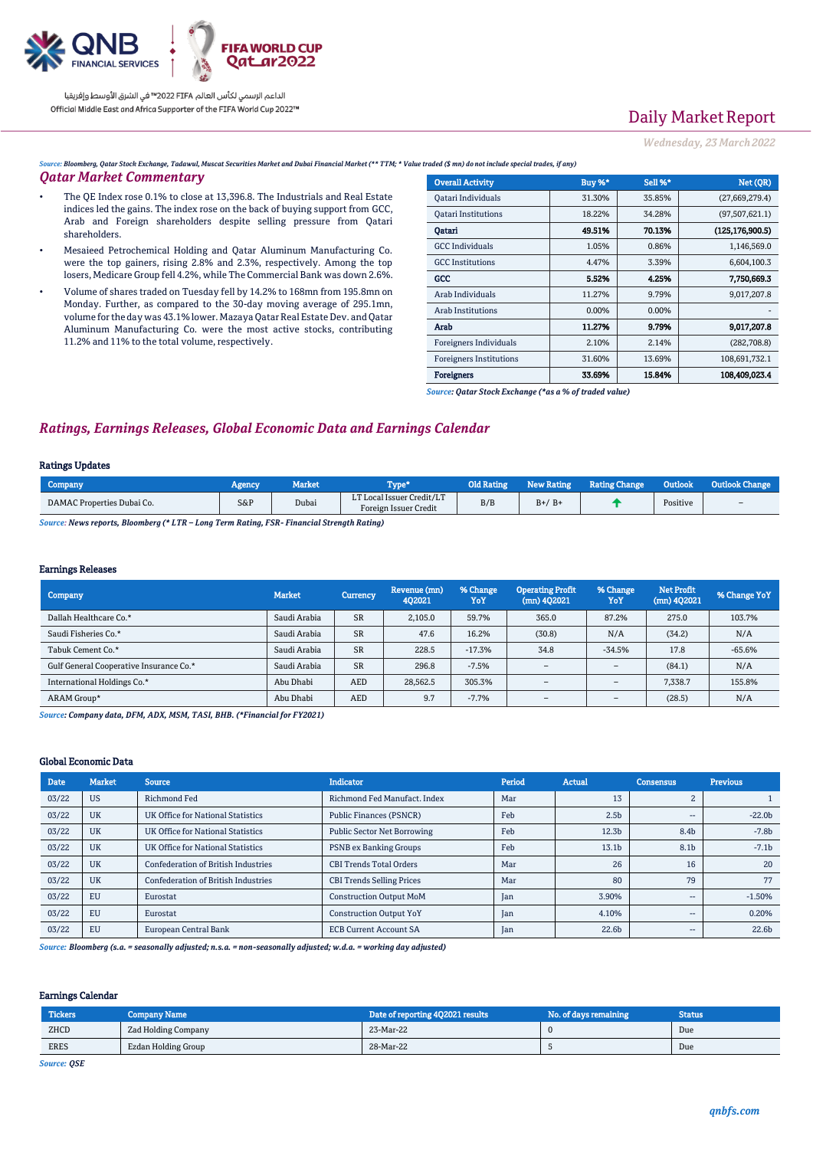

# Daily Market Report

*Wednesday, 23 March2022*

*Source: Bloomberg, Qatar Stock Exchange, Tadawul, Muscat Securities Market and Dubai Financial Market (\*\* TTM; \* Value traded (\$ mn) do not include special trades, if any)*

#### *Qatar Market Commentary*

- The QE Index rose 0.1% to close at 13,396.8. The Industrials and Real Estate indices led the gains. The index rose on the back of buying support from GCC, Arab and Foreign shareholders despite selling pressure from Qatari shareholders.
- Mesaieed Petrochemical Holding and Qatar Aluminum Manufacturing Co. were the top gainers, rising 2.8% and 2.3%, respectively. Among the top losers, Medicare Group fell 4.2%, while The Commercial Bank was down 2.6%.
- Volume of shares traded on Tuesday fell by 14.2% to 168mn from 195.8mn on Monday. Further, as compared to the 30-day moving average of 295.1mn, volume for the day was 43.1% lower. Mazaya Qatar Real Estate Dev. and Qatar Aluminum Manufacturing Co. were the most active stocks, contributing 11.2% and 11% to the total volume, respectively.

| <b>Overall Activity</b>        | Buy %* | Sell %* | Net (QR)          |
|--------------------------------|--------|---------|-------------------|
| Qatari Individuals             | 31.30% | 35.85%  | (27,669,279.4)    |
| <b>Oatari Institutions</b>     | 18.22% | 34.28%  | (97,507,621.1)    |
| Oatari                         | 49.51% | 70.13%  | (125, 176, 900.5) |
| <b>GCC</b> Individuals         | 1.05%  | 0.86%   | 1,146,569.0       |
| <b>GCC</b> Institutions        | 4.47%  | 3.39%   | 6,604,100.3       |
| GCC                            | 5.52%  | 4,25%   | 7.750.669.3       |
| Arab Individuals               | 11.27% | 9.79%   | 9,017,207.8       |
| Arab Institutions              | 0.00%  | 0.00%   |                   |
| Arab                           | 11.27% | 9.79%   | 9,017,207.8       |
| Foreigners Individuals         | 2.10%  | 2.14%   | (282, 708.8)      |
| <b>Foreigners Institutions</b> | 31.60% | 13.69%  | 108,691,732.1     |
| Foreigners                     | 33.69% | 15.84%  | 108.409.023.4     |

*Source: Qatar Stock Exchange (\*as a % of traded value)*

### *Ratings, Earnings Releases, Global Economic Data and Earnings Calendar*

#### Ratings Updates

| <b>Company</b>                                                                                 | Agency | Market | 'vpe*                                              | <b>Old Rating</b> | <b>New Rating</b> | <b>Rating Change</b> | Outlook  | Outlook Change           |
|------------------------------------------------------------------------------------------------|--------|--------|----------------------------------------------------|-------------------|-------------------|----------------------|----------|--------------------------|
| DAMAC Properties Dubai Co.                                                                     | $S\&P$ | Dubai  | LT Local Issuer Credit/LT<br>Foreign Issuer Credit | B/B               | $B+/B+$           |                      | Positive | $\overline{\phantom{a}}$ |
| Connect Maria program Discussions (* 1700 - 1300 Tann Dating, FCD - Financial Ctronath Datina) |        |        |                                                    |                   |                   |                      |          |                          |

*Source: News reports, Bloomberg (\* LTR – Long Term Rating, FSR- Financial Strength Rating)*

#### Earnings Releases

| Company                                 | <b>Market</b> | <b>Currency</b> | Revenue (mn)<br>402021 | % Change<br>YoY | <b>Operating Profit</b><br>$(mn)$ 402021 | % Change<br>YoY          | <b>Net Profit</b><br>$(mn)$ 4Q2021 | % Change YoY |
|-----------------------------------------|---------------|-----------------|------------------------|-----------------|------------------------------------------|--------------------------|------------------------------------|--------------|
| Dallah Healthcare Co.*                  | Saudi Arabia  | <b>SR</b>       | 2.105.0                | 59.7%           | 365.0                                    | 87.2%                    | 275.0                              | 103.7%       |
| Saudi Fisheries Co.*                    | Saudi Arabia  | <b>SR</b>       | 47.6                   | 16.2%           | (30.8)                                   | N/A                      | (34.2)                             | N/A          |
| Tabuk Cement Co.*                       | Saudi Arabia  | <b>SR</b>       | 228.5                  | $-17.3%$        | 34.8                                     | -34.5%                   | 17.8                               | $-65.6%$     |
| Gulf General Cooperative Insurance Co.* | Saudi Arabia  | <b>SR</b>       | 296.8                  | $-7.5%$         | $\overline{\phantom{a}}$                 | $\overline{\phantom{a}}$ | (84.1)                             | N/A          |
| International Holdings Co.*             | Abu Dhabi     | <b>AED</b>      | 28.562.5               | 305.3%          | $\overline{\phantom{a}}$                 | $\overline{\phantom{a}}$ | 7.338.7                            | 155.8%       |
| ARAM Group*                             | Abu Dhabi     | <b>AED</b>      | 9.7                    | $-7.7%$         | $\overline{\phantom{a}}$                 | $\overline{\phantom{a}}$ | (28.5)                             | N/A          |

*Source: Company data, DFM, ADX, MSM, TASI, BHB. (\*Financial for FY2021)*

#### Global Economic Data

| Date  | <b>Market</b> | <b>Source</b>                              | <b>Indicator</b>                   | Period | <b>Actual</b>     | <b>Consensus</b>         | <b>Previous</b>   |
|-------|---------------|--------------------------------------------|------------------------------------|--------|-------------------|--------------------------|-------------------|
| 03/22 | <b>US</b>     | Richmond Fed                               | Richmond Fed Manufact, Index       | Mar    | 13                | $\overline{c}$           |                   |
| 03/22 | <b>UK</b>     | <b>UK Office for National Statistics</b>   | <b>Public Finances (PSNCR)</b>     | Feb    | 2.5 <sub>b</sub>  | $- -$                    | $-22.0b$          |
| 03/22 | <b>UK</b>     | UK Office for National Statistics          | <b>Public Sector Net Borrowing</b> | Feb    | 12.3 <sub>b</sub> | 8.4b                     | $-7.8b$           |
| 03/22 | <b>UK</b>     | UK Office for National Statistics          | <b>PSNB</b> ex Banking Groups      | Feb    | 13.1 <sub>b</sub> | 8.1 <sub>b</sub>         | $-7.1b$           |
| 03/22 | <b>UK</b>     | <b>Confederation of British Industries</b> | <b>CBI Trends Total Orders</b>     | Mar    | 26                | 16                       | 20                |
| 03/22 | <b>UK</b>     | <b>Confederation of British Industries</b> | <b>CBI Trends Selling Prices</b>   | Mar    | 80                | 79                       | 77                |
| 03/22 | EU            | Eurostat                                   | <b>Construction Output MoM</b>     | Jan    | 3.90%             | $- -$                    | $-1.50%$          |
| 03/22 | EU            | Eurostat                                   | <b>Construction Output YoY</b>     | Jan    | 4.10%             | $\overline{\phantom{a}}$ | 0.20%             |
| 03/22 | EU            | European Central Bank                      | <b>ECB Current Account SA</b>      | Jan    | 22.6 <sub>b</sub> | $- -$                    | 22.6 <sub>b</sub> |

*Source: Bloomberg (s.a. = seasonally adjusted; n.s.a. = non-seasonally adjusted; w.d.a. = working day adjusted)*

#### Earnings Calendar

| Tickers                                                                                                                                                                                                                                                  | Company Name        | Date of reporting 402021 results | No. of days remaining | <b>Status</b> |
|----------------------------------------------------------------------------------------------------------------------------------------------------------------------------------------------------------------------------------------------------------|---------------------|----------------------------------|-----------------------|---------------|
| ZHCD<br><b><i><u>Property Contract Contract Contract Contract Contract Contract Contract Contract Contract Contract Contract Contract Contract Contract Contract Contract Contract Contract Contract Contract Contract Contract Contract Con</u></i></b> | Zad Holding Company | 23-Mar-22                        |                       | Due           |
| <b>ERES</b>                                                                                                                                                                                                                                              | Ezdan Holding Group | 28-Mar-22                        |                       | Due           |

*Source: QSE*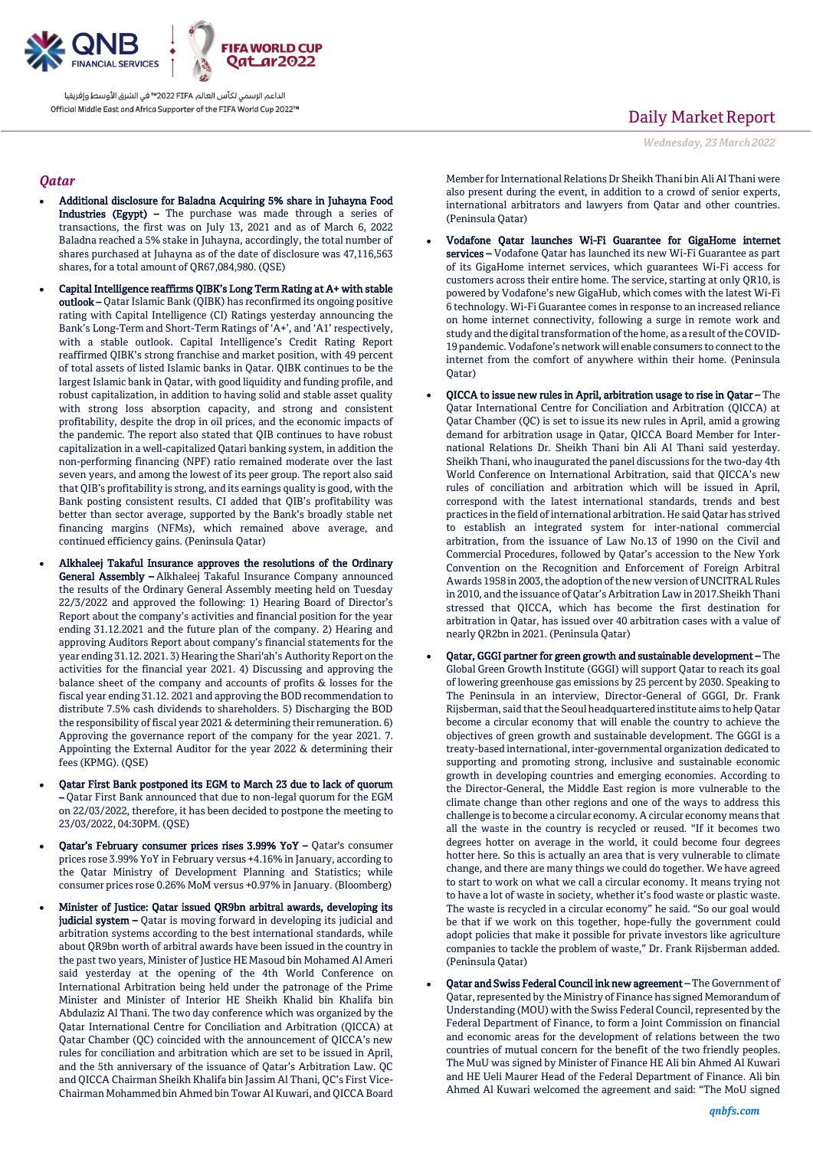

### *Qatar*

- Additional disclosure for Baladna Acquiring 5% share in Juhayna Food Industries (Egypt) – The purchase was made through a series of transactions, the first was on July 13, 2021 and as of March 6, 2022 Baladna reached a 5% stake in Juhayna, accordingly, the total number of shares purchased at Juhayna as of the date of disclosure was 47,116,563 shares, for a total amount of QR67,084,980. (QSE)
- Capital Intelligence reaffirms QIBK's Long Term Rating at A+ with stable outlook – Qatar Islamic Bank (QIBK) has reconfirmed its ongoing positive rating with Capital Intelligence (CI) Ratings yesterday announcing the Bank's Long-Term and Short-Term Ratings of 'A+', and 'A1' respectively, with a stable outlook. Capital Intelligence's Credit Rating Report reaffirmed QIBK's strong franchise and market position, with 49 percent of total assets of listed Islamic banks in Qatar. QIBK continues to be the largest Islamic bank in Qatar, with good liquidity and funding profile, and robust capitalization, in addition to having solid and stable asset quality with strong loss absorption capacity, and strong and consistent profitability, despite the drop in oil prices, and the economic impacts of the pandemic. The report also stated that QIB continues to have robust capitalization in a well-capitalized Qatari banking system, in addition the non-performing financing (NPF) ratio remained moderate over the last seven years, and among the lowest of its peer group. The report also said that QIB's profitability is strong, and its earnings quality is good, with the Bank posting consistent results. CI added that QIB's profitability was better than sector average, supported by the Bank's broadly stable net financing margins (NFMs), which remained above average, and continued efficiency gains. (Peninsula Qatar)
- Alkhaleej Takaful Insurance approves the resolutions of the Ordinary General Assembly - Alkhaleej Takaful Insurance Company announced the results of the Ordinary General Assembly meeting held on Tuesday 22/3/2022 and approved the following: 1) Hearing Board of Director's Report about the company's activities and financial position for the year ending 31.12.2021 and the future plan of the company. 2) Hearing and approving Auditors Report about company's financial statements for the year ending 31.12. 2021. 3) Hearing the Shari'ah's Authority Report on the activities for the financial year 2021. 4) Discussing and approving the balance sheet of the company and accounts of profits & losses for the fiscal year ending 31.12. 2021 and approving the BOD recommendation to distribute 7.5% cash dividends to shareholders. 5) Discharging the BOD the responsibility of fiscal year 2021 & determining their remuneration. 6) Approving the governance report of the company for the year 2021. 7. Appointing the External Auditor for the year 2022 & determining their fees (KPMG). (QSE)
- Qatar First Bank postponed its EGM to March 23 due to lack of quorum – Qatar First Bank announced that due to non-legal quorum for the EGM on 22/03/2022, therefore, it has been decided to postpone the meeting to 23/03/2022, 04:30PM. (QSE)
- Qatar's February consumer prices rises 3.99% YoY Qatar's consumer prices rose 3.99% YoY in February versus +4.16% in January, according to the Qatar Ministry of Development Planning and Statistics; while consumer prices rose 0.26% MoM versus +0.97% in January. (Bloomberg)
- Minister of Justice: Qatar issued QR9bn arbitral awards, developing its judicial system - Qatar is moving forward in developing its judicial and arbitration systems according to the best international standards, while about QR9bn worth of arbitral awards have been issued in the country in the past two years, Minister of Justice HE Masoud bin Mohamed Al Ameri said yesterday at the opening of the 4th World Conference on International Arbitration being held under the patronage of the Prime Minister and Minister of Interior HE Sheikh Khalid bin Khalifa bin Abdulaziz Al Thani. The two day conference which was organized by the Qatar International Centre for Conciliation and Arbitration (QICCA) at Qatar Chamber (QC) coincided with the announcement of QICCA's new rules for conciliation and arbitration which are set to be issued in April, and the 5th anniversary of the issuance of Qatar's Arbitration Law. QC and QICCA Chairman Sheikh Khalifa bin Jassim Al Thani, QC's First Vice-Chairman Mohammed bin Ahmed bin Towar Al Kuwari, and QICCA Board

## Daily Market Report

*Wednesday, 23 March2022*

Member for International Relations Dr Sheikh Thani bin Ali Al Thani were also present during the event, in addition to a crowd of senior experts, international arbitrators and lawyers from Qatar and other countries. (Peninsula Qatar)

- Vodafone Qatar launches Wi-Fi Guarantee for GigaHome internet services – Vodafone Qatar has launched its new Wi-Fi Guarantee as part of its GigaHome internet services, which guarantees Wi-Fi access for customers across their entire home. The service, starting at only QR10, is powered by Vodafone's new GigaHub, which comes with the latest Wi-Fi 6 technology. Wi-Fi Guarantee comes in response to an increased reliance on home internet connectivity, following a surge in remote work and study and the digital transformation of the home, as a result of the COVID-19 pandemic. Vodafone's network will enable consumers to connect to the internet from the comfort of anywhere within their home. (Peninsula Qatar)
- QICCA to issue new rules in April, arbitration usage to rise in Qatar The Qatar International Centre for Conciliation and Arbitration (QICCA) at Qatar Chamber (QC) is set to issue its new rules in April, amid a growing demand for arbitration usage in Qatar, QICCA Board Member for International Relations Dr. Sheikh Thani bin Ali Al Thani said yesterday. Sheikh Thani, who inaugurated the panel discussions for the two-day 4th World Conference on International Arbitration, said that QICCA's new rules of conciliation and arbitration which will be issued in April, correspond with the latest international standards, trends and best practices in the field of international arbitration. He said Qatar has strived to establish an integrated system for inter-national commercial arbitration, from the issuance of Law No.13 of 1990 on the Civil and Commercial Procedures, followed by Qatar's accession to the New York Convention on the Recognition and Enforcement of Foreign Arbitral Awards 1958 in 2003, the adoption of the new version of UNCITRAL Rules in 2010, and the issuance of Qatar's Arbitration Law in 2017.Sheikh Thani stressed that QICCA, which has become the first destination for arbitration in Qatar, has issued over 40 arbitration cases with a value of nearly QR2bn in 2021. (Peninsula Qatar)
- Qatar, GGGI partner for green growth and sustainable development The Global Green Growth Institute (GGGI) will support Qatar to reach its goal of lowering greenhouse gas emissions by 25 percent by 2030. Speaking to The Peninsula in an interview, Director-General of GGGI, Dr. Frank Rijsberman, said that the Seoul headquartered institute aims to help Qatar become a circular economy that will enable the country to achieve the objectives of green growth and sustainable development. The GGGI is a treaty-based international, inter-governmental organization dedicated to supporting and promoting strong, inclusive and sustainable economic growth in developing countries and emerging economies. According to the Director-General, the Middle East region is more vulnerable to the climate change than other regions and one of the ways to address this challenge is to become a circular economy. A circular economy means that all the waste in the country is recycled or reused. "If it becomes two degrees hotter on average in the world, it could become four degrees hotter here. So this is actually an area that is very vulnerable to climate change, and there are many things we could do together. We have agreed to start to work on what we call a circular economy. It means trying not to have a lot of waste in society, whether it's food waste or plastic waste. The waste is recycled in a circular economy" he said. "So our goal would be that if we work on this together, hope-fully the government could adopt policies that make it possible for private investors like agriculture companies to tackle the problem of waste," Dr. Frank Rijsberman added. (Peninsula Qatar)
- Qatar and Swiss Federal Council ink new agreement The Government of Qatar, represented by the Ministry of Finance has signed Memorandum of Understanding (MOU) with the Swiss Federal Council, represented by the Federal Department of Finance, to form a Joint Commission on financial and economic areas for the development of relations between the two countries of mutual concern for the benefit of the two friendly peoples. The MuU was signed by Minister of Finance HE Ali bin Ahmed Al Kuwari and HE Ueli Maurer Head of the Federal Department of Finance. Ali bin Ahmed Al Kuwari welcomed the agreement and said: "The MoU signed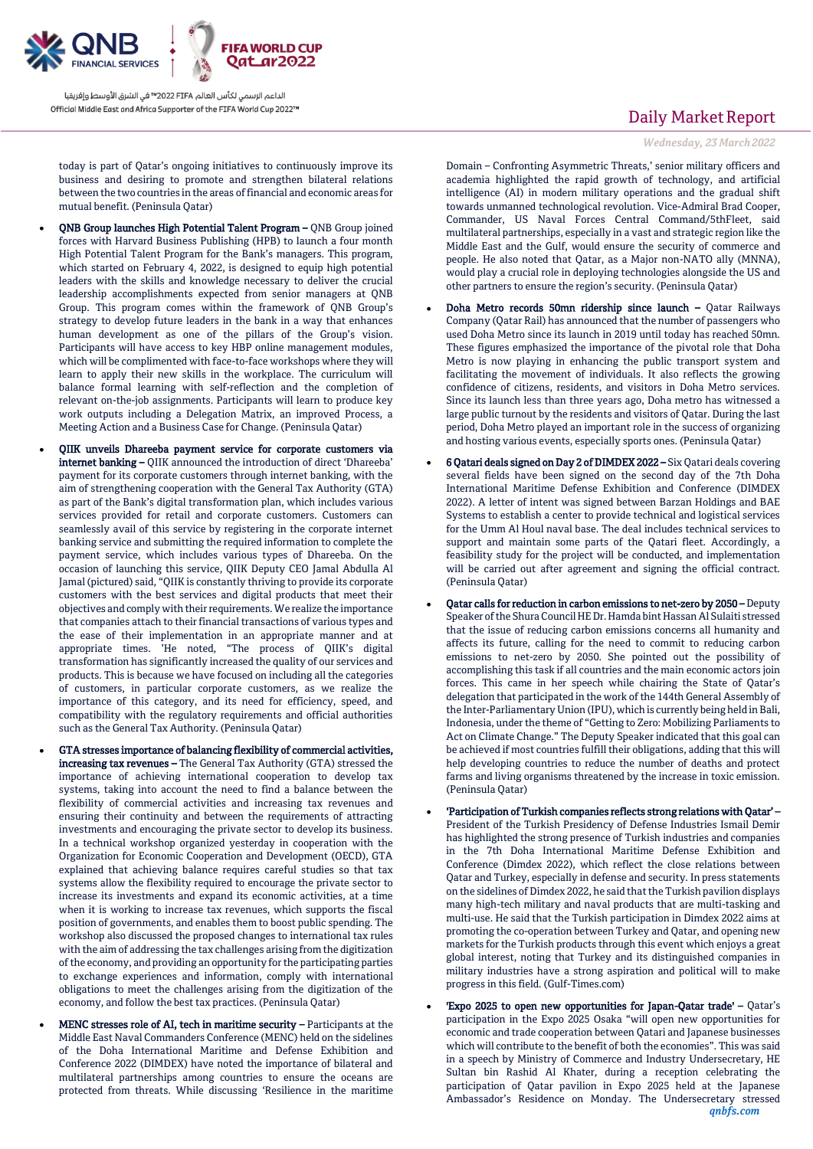

today is part of Qatar's ongoing initiatives to continuously improve its business and desiring to promote and strengthen bilateral relations between the two countries in the areas of financial and economic areas for mutual benefit. (Peninsula Qatar)

- QNB Group launches High Potential Talent Program QNB Group joined forces with Harvard Business Publishing (HPB) to launch a four month High Potential Talent Program for the Bank's managers. This program, which started on February 4, 2022, is designed to equip high potential leaders with the skills and knowledge necessary to deliver the crucial leadership accomplishments expected from senior managers at QNB Group. This program comes within the framework of QNB Group's strategy to develop future leaders in the bank in a way that enhances human development as one of the pillars of the Group's vision. Participants will have access to key HBP online management modules, which will be complimented with face-to-face workshops where they will learn to apply their new skills in the workplace. The curriculum will balance formal learning with self-reflection and the completion of relevant on-the-job assignments. Participants will learn to produce key work outputs including a Delegation Matrix, an improved Process, a Meeting Action and a Business Case for Change. (Peninsula Qatar)
- QIIK unveils Dhareeba payment service for corporate customers via internet banking – QIIK announced the introduction of direct 'Dhareeba' payment for its corporate customers through internet banking, with the aim of strengthening cooperation with the General Tax Authority (GTA) as part of the Bank's digital transformation plan, which includes various services provided for retail and corporate customers. Customers can seamlessly avail of this service by registering in the corporate internet banking service and submitting the required information to complete the payment service, which includes various types of Dhareeba. On the occasion of launching this service, QIIK Deputy CEO Jamal Abdulla Al Jamal (pictured) said, "QIIK is constantly thriving to provide its corporate customers with the best services and digital products that meet their objectives and comply with their requirements. We realize the importance that companies attach to their financial transactions of various types and the ease of their implementation in an appropriate manner and at appropriate times. 'He noted, "The process of QIIK's digital transformation has significantly increased the quality of our services and products. This is because we have focused on including all the categories of customers, in particular corporate customers, as we realize the importance of this category, and its need for efficiency, speed, and compatibility with the regulatory requirements and official authorities such as the General Tax Authority. (Peninsula Qatar)
- GTA stresses importance of balancing flexibility of commercial activities, increasing tax revenues – The General Tax Authority (GTA) stressed the importance of achieving international cooperation to develop tax systems, taking into account the need to find a balance between the flexibility of commercial activities and increasing tax revenues and ensuring their continuity and between the requirements of attracting investments and encouraging the private sector to develop its business. In a technical workshop organized yesterday in cooperation with the Organization for Economic Cooperation and Development (OECD), GTA explained that achieving balance requires careful studies so that tax systems allow the flexibility required to encourage the private sector to increase its investments and expand its economic activities, at a time when it is working to increase tax revenues, which supports the fiscal position of governments, and enables them to boost public spending. The workshop also discussed the proposed changes to international tax rules with the aim of addressing the tax challenges arising from the digitization of the economy, and providing an opportunity for the participating parties to exchange experiences and information, comply with international obligations to meet the challenges arising from the digitization of the economy, and follow the best tax practices. (Peninsula Qatar)
- MENC stresses role of AI, tech in maritime security Participants at the Middle East Naval Commanders Conference (MENC) held on the sidelines of the Doha International Maritime and Defense Exhibition and Conference 2022 (DIMDEX) have noted the importance of bilateral and multilateral partnerships among countries to ensure the oceans are protected from threats. While discussing 'Resilience in the maritime

## Daily Market Report

*Wednesday, 23 March2022*

Domain – Confronting Asymmetric Threats,' senior military officers and academia highlighted the rapid growth of technology, and artificial intelligence (AI) in modern military operations and the gradual shift towards unmanned technological revolution. Vice-Admiral Brad Cooper, Commander, US Naval Forces Central Command/5thFleet, said multilateral partnerships, especially in a vast and strategic region like the Middle East and the Gulf, would ensure the security of commerce and people. He also noted that Qatar, as a Major non-NATO ally (MNNA), would play a crucial role in deploying technologies alongside the US and other partners to ensure the region's security. (Peninsula Qatar)

- Doha Metro records 50mn ridership since launch Qatar Railways Company (Qatar Rail) has announced that the number of passengers who used Doha Metro since its launch in 2019 until today has reached 50mn. These figures emphasized the importance of the pivotal role that Doha Metro is now playing in enhancing the public transport system and facilitating the movement of individuals. It also reflects the growing confidence of citizens, residents, and visitors in Doha Metro services. Since its launch less than three years ago, Doha metro has witnessed a large public turnout by the residents and visitors of Qatar. During the last period, Doha Metro played an important role in the success of organizing and hosting various events, especially sports ones. (Peninsula Qatar)
- 6 Qatari deals signed on Day 2 of DIMDEX 2022 Six Qatari deals covering several fields have been signed on the second day of the 7th Doha International Maritime Defense Exhibition and Conference (DIMDEX 2022). A letter of intent was signed between Barzan Holdings and BAE Systems to establish a center to provide technical and logistical services for the Umm Al Houl naval base. The deal includes technical services to support and maintain some parts of the Qatari fleet. Accordingly, a feasibility study for the project will be conducted, and implementation will be carried out after agreement and signing the official contract. (Peninsula Qatar)
- Qatar calls for reduction in carbon emissions to net-zero by 2050 Deputy Speaker of the Shura Council HE Dr. Hamda bint Hassan Al Sulaiti stressed that the issue of reducing carbon emissions concerns all humanity and affects its future, calling for the need to commit to reducing carbon emissions to net-zero by 2050. She pointed out the possibility of accomplishing this task if all countries and the main economic actors join forces. This came in her speech while chairing the State of Qatar's delegation that participated in the work of the 144th General Assembly of the Inter-Parliamentary Union (IPU), which is currently being held in Bali, Indonesia, under the theme of "Getting to Zero: Mobilizing Parliaments to Act on Climate Change." The Deputy Speaker indicated that this goal can be achieved if most countries fulfill their obligations, adding that this will help developing countries to reduce the number of deaths and protect farms and living organisms threatened by the increase in toxic emission. (Peninsula Qatar)
- 'Participation of Turkish companies reflects strong relations with Qatar' President of the Turkish Presidency of Defense Industries Ismail Demir has highlighted the strong presence of Turkish industries and companies in the 7th Doha International Maritime Defense Exhibition and Conference (Dimdex 2022), which reflect the close relations between Qatar and Turkey, especially in defense and security. In press statements on the sidelines of Dimdex 2022, he said that the Turkish pavilion displays many high-tech military and naval products that are multi-tasking and multi-use. He said that the Turkish participation in Dimdex 2022 aims at promoting the co-operation between Turkey and Qatar, and opening new markets for the Turkish products through this event which enjoys a great global interest, noting that Turkey and its distinguished companies in military industries have a strong aspiration and political will to make progress in this field. (Gulf-Times.com)
- *qnbfs.com* 'Expo 2025 to open new opportunities for Japan-Qatar trade' – Qatar's participation in the Expo 2025 Osaka "will open new opportunities for economic and trade cooperation between Qatari and Japanese businesses which will contribute to the benefit of both the economies". This was said in a speech by Ministry of Commerce and Industry Undersecretary, HE Sultan bin Rashid Al Khater, during a reception celebrating the participation of Qatar pavilion in Expo 2025 held at the Japanese Ambassador's Residence on Monday. The Undersecretary stressed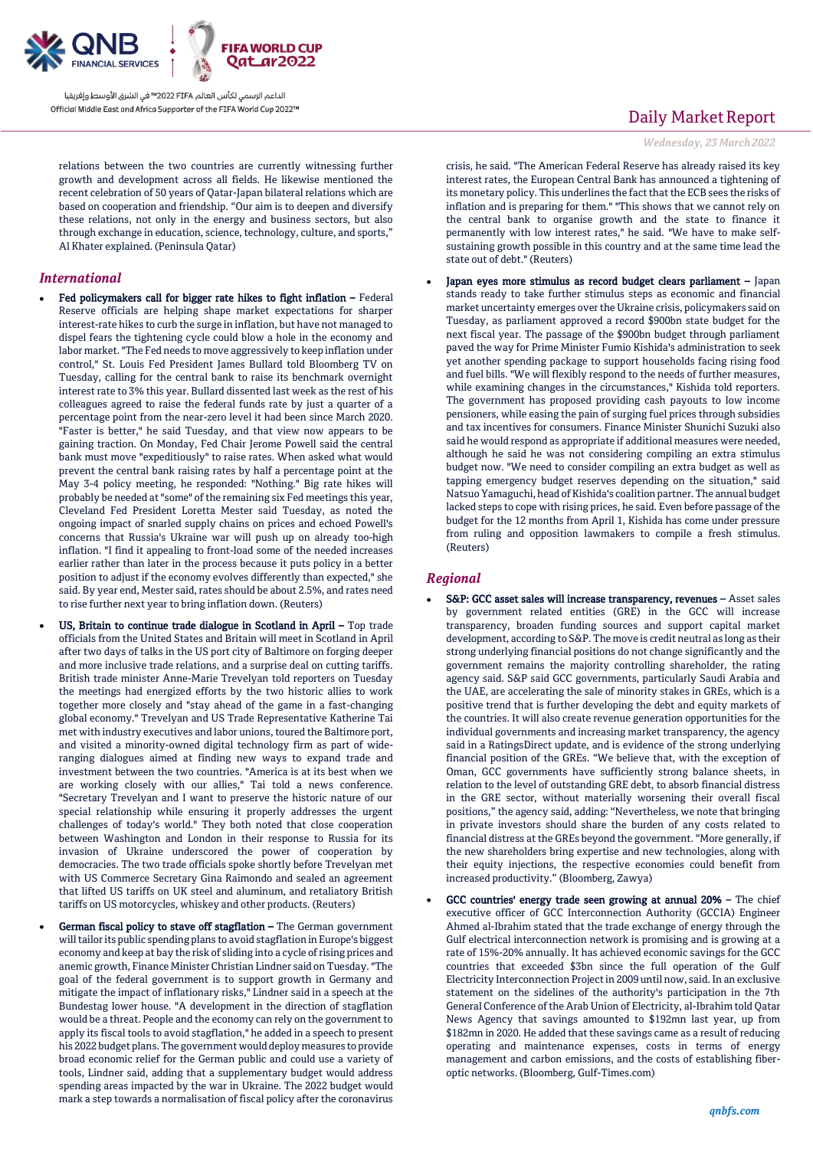

relations between the two countries are currently witnessing further growth and development across all fields. He likewise mentioned the recent celebration of 50 years of Qatar-Japan bilateral relations which are based on cooperation and friendship. "Our aim is to deepen and diversify these relations, not only in the energy and business sectors, but also through exchange in education, science, technology, culture, and sports," Al Khater explained. (Peninsula Qatar)

### *International*

- Fed policymakers call for bigger rate hikes to fight inflation Federal Reserve officials are helping shape market expectations for sharper interest-rate hikes to curb the surge in inflation, but have not managed to dispel fears the tightening cycle could blow a hole in the economy and labor market. "The Fed needs to move aggressively to keep inflation under control," St. Louis Fed President James Bullard told Bloomberg TV on Tuesday, calling for the central bank to raise its benchmark overnight interest rate to 3% this year. Bullard dissented last week as the rest of his colleagues agreed to raise the federal funds rate by just a quarter of a percentage point from the near-zero level it had been since March 2020. "Faster is better," he said Tuesday, and that view now appears to be gaining traction. On Monday, Fed Chair Jerome Powell said the central bank must move "expeditiously" to raise rates. When asked what would prevent the central bank raising rates by half a percentage point at the May 3-4 policy meeting, he responded: "Nothing." Big rate hikes will probably be needed at "some" of the remaining six Fed meetings this year, Cleveland Fed President Loretta Mester said Tuesday, as noted the ongoing impact of snarled supply chains on prices and echoed Powell's concerns that Russia's Ukraine war will push up on already too-high inflation. "I find it appealing to front-load some of the needed increases earlier rather than later in the process because it puts policy in a better position to adjust if the economy evolves differently than expected," she said. By year end, Mester said, rates should be about 2.5%, and rates need to rise further next year to bring inflation down. (Reuters)
	- US, Britain to continue trade dialogue in Scotland in April Top trade officials from the United States and Britain will meet in Scotland in April after two days of talks in the US port city of Baltimore on forging deeper and more inclusive trade relations, and a surprise deal on cutting tariffs. British trade minister Anne-Marie Trevelyan told reporters on Tuesday the meetings had energized efforts by the two historic allies to work together more closely and "stay ahead of the game in a fast-changing global economy." Trevelyan and US Trade Representative Katherine Tai met with industry executives and labor unions, toured the Baltimore port, and visited a minority-owned digital technology firm as part of wideranging dialogues aimed at finding new ways to expand trade and investment between the two countries. "America is at its best when we are working closely with our allies," Tai told a news conference. "Secretary Trevelyan and I want to preserve the historic nature of our special relationship while ensuring it properly addresses the urgent challenges of today's world." They both noted that close cooperation between Washington and London in their response to Russia for its invasion of Ukraine underscored the power of cooperation by democracies. The two trade officials spoke shortly before Trevelyan met with US Commerce Secretary Gina Raimondo and sealed an agreement that lifted US tariffs on UK steel and aluminum, and retaliatory British tariffs on US motorcycles, whiskey and other products. (Reuters)
- German fiscal policy to stave off stagflation The German government will tailor its public spending plans to avoid stagflation in Europe's biggest economy and keep at bay the risk of sliding into a cycle of rising prices and anemic growth, Finance Minister Christian Lindner said on Tuesday. "The goal of the federal government is to support growth in Germany and mitigate the impact of inflationary risks," Lindner said in a speech at the Bundestag lower house. "A development in the direction of stagflation would be a threat. People and the economy can rely on the government to apply its fiscal tools to avoid stagflation," he added in a speech to present his 2022 budget plans. The government would deploy measures to provide broad economic relief for the German public and could use a variety of tools, Lindner said, adding that a supplementary budget would address spending areas impacted by the war in Ukraine. The 2022 budget would mark a step towards a normalisation of fiscal policy after the coronavirus

## Daily Market Report

*Wednesday, 23 March2022*

crisis, he said. "The American Federal Reserve has already raised its key interest rates, the European Central Bank has announced a tightening of its monetary policy. This underlines the fact that the ECB sees the risks of inflation and is preparing for them." "This shows that we cannot rely on the central bank to organise growth and the state to finance it permanently with low interest rates," he said. "We have to make selfsustaining growth possible in this country and at the same time lead the state out of debt." (Reuters)

 Japan eyes more stimulus as record budget clears parliament – Japan stands ready to take further stimulus steps as economic and financial market uncertainty emerges over the Ukraine crisis, policymakers said on Tuesday, as parliament approved a record \$900bn state budget for the next fiscal year. The passage of the \$900bn budget through parliament paved the way for Prime Minister Fumio Kishida's administration to seek yet another spending package to support households facing rising food and fuel bills. "We will flexibly respond to the needs of further measures, while examining changes in the circumstances," Kishida told reporters. The government has proposed providing cash payouts to low income pensioners, while easing the pain of surging fuel prices through subsidies and tax incentives for consumers. Finance Minister Shunichi Suzuki also said he would respond as appropriate if additional measures were needed, although he said he was not considering compiling an extra stimulus budget now. "We need to consider compiling an extra budget as well as tapping emergency budget reserves depending on the situation," said Natsuo Yamaguchi, head of Kishida's coalition partner. The annual budget lacked steps to cope with rising prices, he said. Even before passage of the budget for the 12 months from April 1, Kishida has come under pressure from ruling and opposition lawmakers to compile a fresh stimulus. (Reuters)

### *Regional*

- S&P: GCC asset sales will increase transparency, revenues Asset sales by government related entities (GRE) in the GCC will increase transparency, broaden funding sources and support capital market development, according to S&P. The move is credit neutral as long as their strong underlying financial positions do not change significantly and the government remains the majority controlling shareholder, the rating agency said. S&P said GCC governments, particularly Saudi Arabia and the UAE, are accelerating the sale of minority stakes in GREs, which is a positive trend that is further developing the debt and equity markets of the countries. It will also create revenue generation opportunities for the individual governments and increasing market transparency, the agency said in a RatingsDirect update, and is evidence of the strong underlying financial position of the GREs. "We believe that, with the exception of Oman, GCC governments have sufficiently strong balance sheets, in relation to the level of outstanding GRE debt, to absorb financial distress in the GRE sector, without materially worsening their overall fiscal positions," the agency said, adding: "Nevertheless, we note that bringing in private investors should share the burden of any costs related to financial distress at the GREs beyond the government. "More generally, if the new shareholders bring expertise and new technologies, along with their equity injections, the respective economies could benefit from increased productivity." (Bloomberg, Zawya)
- GCC countries' energy trade seen growing at annual 20% The chief executive officer of GCC Interconnection Authority (GCCIA) Engineer Ahmed al-Ibrahim stated that the trade exchange of energy through the Gulf electrical interconnection network is promising and is growing at a rate of 15%-20% annually. It has achieved economic savings for the GCC countries that exceeded \$3bn since the full operation of the Gulf Electricity Interconnection Project in 2009 until now, said. In an exclusive statement on the sidelines of the authority's participation in the 7th General Conference of the Arab Union of Electricity, al-Ibrahim told Qatar News Agency that savings amounted to \$192mn last year, up from \$182mn in 2020. He added that these savings came as a result of reducing operating and maintenance expenses, costs in terms of energy management and carbon emissions, and the costs of establishing fiberoptic networks. (Bloomberg, Gulf-Times.com)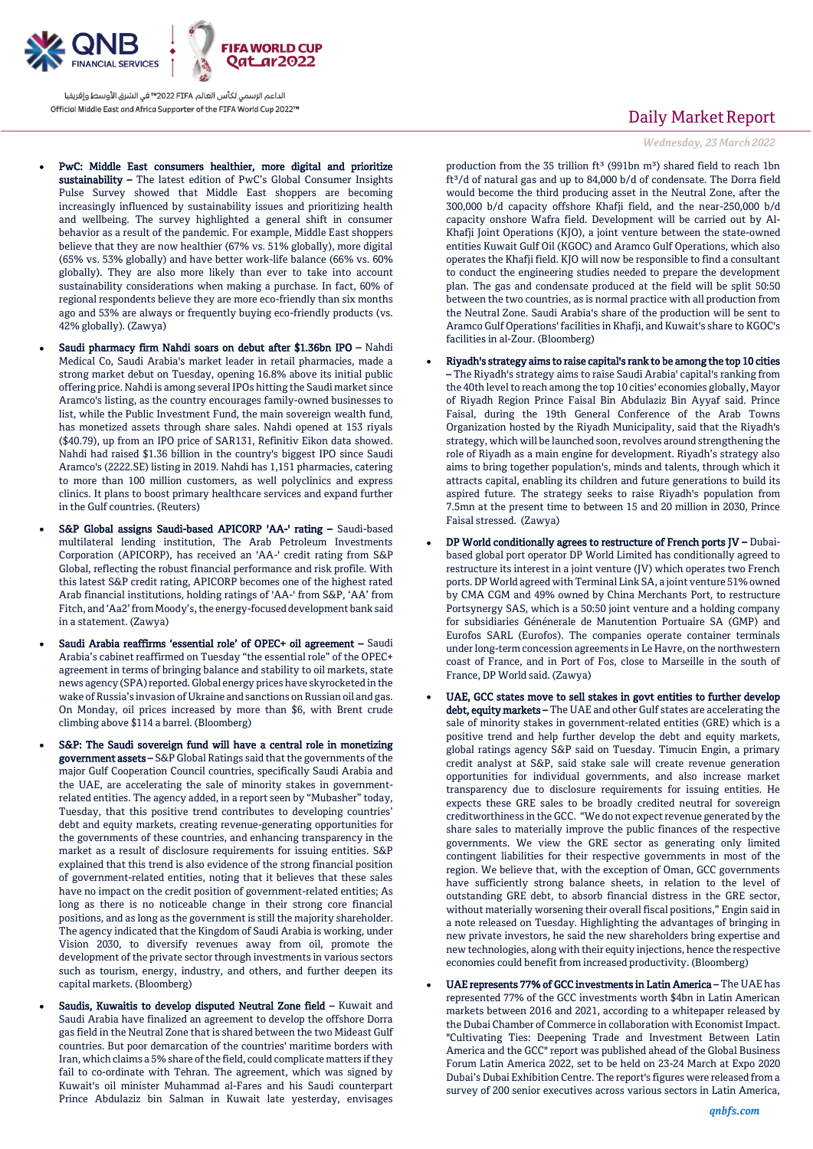

- PwC: Middle East consumers healthier, more digital and prioritize sustainability – The latest edition of PwC's Global Consumer Insights Pulse Survey showed that Middle East shoppers are becoming increasingly influenced by sustainability issues and prioritizing health and wellbeing. The survey highlighted a general shift in consumer behavior as a result of the pandemic. For example, Middle East shoppers believe that they are now healthier (67% vs. 51% globally), more digital (65% vs. 53% globally) and have better work-life balance (66% vs. 60% globally). They are also more likely than ever to take into account sustainability considerations when making a purchase. In fact, 60% of regional respondents believe they are more eco-friendly than six months ago and 53% are always or frequently buying eco-friendly products (vs. 42% globally). (Zawya)
- Saudi pharmacy firm Nahdi soars on debut after \$1.36bn IPO Nahdi Medical Co, Saudi Arabia's market leader in retail pharmacies, made a strong market debut on Tuesday, opening 16.8% above its initial public offering price. Nahdi is among several IPOs hitting the Saudi market since Aramco's listing, as the country encourages family-owned businesses to list, while the Public Investment Fund, the main sovereign wealth fund, has monetized assets through share sales. Nahdi opened at 153 riyals (\$40.79), up from an IPO price of SAR131, Refinitiv Eikon data showed. Nahdi had raised \$1.36 billion in the country's biggest IPO since Saudi Aramco's (2222.SE) listing in 2019. Nahdi has 1,151 pharmacies, catering to more than 100 million customers, as well polyclinics and express clinics. It plans to boost primary healthcare services and expand further in the Gulf countries. (Reuters)
- S&P Global assigns Saudi-based APICORP 'AA-' rating Saudi-based multilateral lending institution, The Arab Petroleum Investments Corporation (APICORP), has received an 'AA-' credit rating from S&P Global, reflecting the robust financial performance and risk profile. With this latest S&P credit rating, APICORP becomes one of the highest rated Arab financial institutions, holding ratings of 'AA-' from S&P, 'AA' from Fitch, and 'Aa2' from Moody's, the energy-focused development bank said in a statement. (Zawya)
- Saudi Arabia reaffirms 'essential role' of OPEC+ oil agreement Saudi Arabia's cabinet reaffirmed on Tuesday "the essential role" of the OPEC+ agreement in terms of bringing balance and stability to oil markets, state news agency (SPA) reported. Global energy prices have skyrocketed in the wake of Russia's invasion of Ukraine and sanctions on Russian oil and gas. On Monday, oil prices increased by more than \$6, with Brent crude climbing above \$114 a barrel. (Bloomberg)
- S&P: The Saudi sovereign fund will have a central role in monetizing government assets – S&P Global Ratings said that the governments of the major Gulf Cooperation Council countries, specifically Saudi Arabia and the UAE, are accelerating the sale of minority stakes in governmentrelated entities. The agency added, in a report seen by "Mubasher" today, Tuesday, that this positive trend contributes to developing countries' debt and equity markets, creating revenue-generating opportunities for the governments of these countries, and enhancing transparency in the market as a result of disclosure requirements for issuing entities. S&P explained that this trend is also evidence of the strong financial position of government-related entities, noting that it believes that these sales have no impact on the credit position of government-related entities; As long as there is no noticeable change in their strong core financial positions, and as long as the government is still the majority shareholder. The agency indicated that the Kingdom of Saudi Arabia is working, under Vision 2030, to diversify revenues away from oil, promote the development of the private sector through investments in various sectors such as tourism, energy, industry, and others, and further deepen its capital markets. (Bloomberg)
- Saudis, Kuwaitis to develop disputed Neutral Zone field Kuwait and Saudi Arabia have finalized an agreement to develop the offshore Dorra gas field in the Neutral Zone that is shared between the two Mideast Gulf countries. But poor demarcation of the countries' maritime borders with Iran, which claims a 5% share of the field, could complicate matters if they fail to co-ordinate with Tehran. The agreement, which was signed by Kuwait's oil minister Muhammad al-Fares and his Saudi counterpart Prince Abdulaziz bin Salman in Kuwait late yesterday, envisages

## Daily Market Report

*Wednesday, 23 March2022*

production from the 35 trillion ft<sup>3</sup> (991bn m<sup>3</sup>) shared field to reach 1bn ft<sup>3</sup>/d of natural gas and up to 84,000 b/d of condensate. The Dorra field would become the third producing asset in the Neutral Zone, after the 300,000 b/d capacity offshore Khafji field, and the near-250,000 b/d capacity onshore Wafra field. Development will be carried out by Al-Khafji Joint Operations (KJO), a joint venture between the state-owned entities Kuwait Gulf Oil (KGOC) and Aramco Gulf Operations, which also operates the Khafji field. KJO will now be responsible to find a consultant to conduct the engineering studies needed to prepare the development plan. The gas and condensate produced at the field will be split 50:50 between the two countries, as is normal practice with all production from the Neutral Zone. Saudi Arabia's share of the production will be sent to Aramco Gulf Operations' facilities in Khafji, and Kuwait's share to KGOC's facilities in al-Zour. (Bloomberg)

- Riyadh's strategy aims to raise capital's rank to be among the top 10 cities – The Riyadh's strategy aims to raise Saudi Arabia' capital's ranking from the 40th level to reach among the top 10 cities' economies globally, Mayor of Riyadh Region Prince Faisal Bin Abdulaziz Bin Ayyaf said. Prince Faisal, during the 19th General Conference of the Arab Towns Organization hosted by the Riyadh Municipality, said that the Riyadh's strategy, which will be launched soon, revolves around strengthening the role of Riyadh as a main engine for development. Riyadh's strategy also aims to bring together population's, minds and talents, through which it attracts capital, enabling its children and future generations to build its aspired future. The strategy seeks to raise Riyadh's population from 7.5mn at the present time to between 15 and 20 million in 2030, Prince Faisal stressed. (Zawya)
- DP World conditionally agrees to restructure of French ports JV Dubaibased global port operator DP World Limited has conditionally agreed to restructure its interest in a joint venture (JV) which operates two French ports. DP World agreed with Terminal Link SA, a joint venture 51% owned by CMA CGM and 49% owned by China Merchants Port, to restructure Portsynergy SAS, which is a 50:50 joint venture and a holding company for subsidiaries Génénerale de Manutention Portuaire SA (GMP) and Eurofos SARL (Eurofos). The companies operate container terminals under long-term concession agreements in Le Havre, on the northwestern coast of France, and in Port of Fos, close to Marseille in the south of France, DP World said. (Zawya)
- UAE, GCC states move to sell stakes in govt entities to further develop debt, equity markets – The UAE and other Gulf states are accelerating the sale of minority stakes in government-related entities (GRE) which is a positive trend and help further develop the debt and equity markets, global ratings agency S&P said on Tuesday. Timucin Engin, a primary credit analyst at S&P, said stake sale will create revenue generation opportunities for individual governments, and also increase market transparency due to disclosure requirements for issuing entities. He expects these GRE sales to be broadly credited neutral for sovereign creditworthiness in the GCC. "We do not expect revenue generated by the share sales to materially improve the public finances of the respective governments. We view the GRE sector as generating only limited contingent liabilities for their respective governments in most of the region. We believe that, with the exception of Oman, GCC governments have sufficiently strong balance sheets, in relation to the level of outstanding GRE debt, to absorb financial distress in the GRE sector, without materially worsening their overall fiscal positions," Engin said in a note released on Tuesday. Highlighting the advantages of bringing in new private investors, he said the new shareholders bring expertise and new technologies, along with their equity injections, hence the respective economies could benefit from increased productivity. (Bloomberg)
- UAE represents 77% of GCC investments in Latin America The UAE has represented 77% of the GCC investments worth \$4bn in Latin American markets between 2016 and 2021, according to a whitepaper released by the Dubai Chamber of Commerce in collaboration with Economist Impact. "Cultivating Ties: Deepening Trade and Investment Between Latin America and the GCC" report was published ahead of the Global Business Forum Latin America 2022, set to be held on 23-24 March at Expo 2020 Dubai's Dubai Exhibition Centre. The report's figures were released from a survey of 200 senior executives across various sectors in Latin America,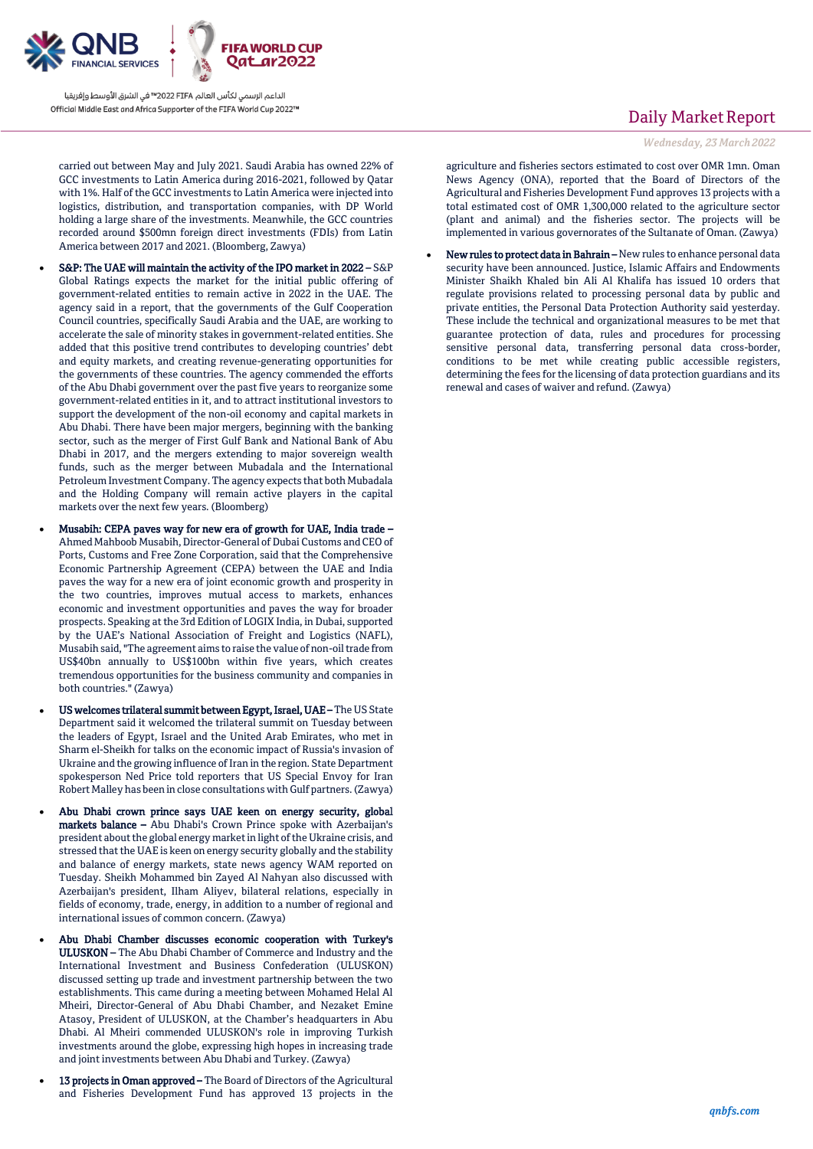

carried out between May and July 2021. Saudi Arabia has owned 22% of GCC investments to Latin America during 2016-2021, followed by Qatar with 1%. Half of the GCC investments to Latin America were injected into logistics, distribution, and transportation companies, with DP World holding a large share of the investments. Meanwhile, the GCC countries recorded around \$500mn foreign direct investments (FDIs) from Latin America between 2017 and 2021. (Bloomberg, Zawya)

- S&P: The UAE will maintain the activity of the IPO market in 2022 S&P Global Ratings expects the market for the initial public offering of government-related entities to remain active in 2022 in the UAE. The agency said in a report, that the governments of the Gulf Cooperation Council countries, specifically Saudi Arabia and the UAE, are working to accelerate the sale of minority stakes in government-related entities. She added that this positive trend contributes to developing countries' debt and equity markets, and creating revenue-generating opportunities for the governments of these countries. The agency commended the efforts of the Abu Dhabi government over the past five years to reorganize some government-related entities in it, and to attract institutional investors to support the development of the non-oil economy and capital markets in Abu Dhabi. There have been major mergers, beginning with the banking sector, such as the merger of First Gulf Bank and National Bank of Abu Dhabi in 2017, and the mergers extending to major sovereign wealth funds, such as the merger between Mubadala and the International Petroleum Investment Company. The agency expects that both Mubadala and the Holding Company will remain active players in the capital markets over the next few years. (Bloomberg)
- Musabih: CEPA paves way for new era of growth for UAE, India trade Ahmed Mahboob Musabih, Director-General of Dubai Customs and CEO of Ports, Customs and Free Zone Corporation, said that the Comprehensive Economic Partnership Agreement (CEPA) between the UAE and India paves the way for a new era of joint economic growth and prosperity in the two countries, improves mutual access to markets, enhances economic and investment opportunities and paves the way for broader prospects. Speaking at the 3rd Edition of LOGIX India, in Dubai, supported by the UAE's National Association of Freight and Logistics (NAFL), Musabih said, "The agreement aims to raise the value of non-oil trade from US\$40bn annually to US\$100bn within five years, which creates tremendous opportunities for the business community and companies in both countries." (Zawya)
- US welcomes trilateral summit between Egypt, Israel, UAE The US State Department said it welcomed the trilateral summit on Tuesday between the leaders of Egypt, Israel and the United Arab Emirates, who met in Sharm el-Sheikh for talks on the economic impact of Russia's invasion of Ukraine and the growing influence of Iran in the region. State Department spokesperson Ned Price told reporters that US Special Envoy for Iran Robert Malley has been in close consultations with Gulf partners. (Zawya)
- Abu Dhabi crown prince says UAE keen on energy security, global markets balance – Abu Dhabi's Crown Prince spoke with Azerbaijan's president about the global energy market in light of the Ukraine crisis, and stressed that the UAE is keen on energy security globally and the stability and balance of energy markets, state news agency WAM reported on Tuesday. Sheikh Mohammed bin Zayed Al Nahyan also discussed with Azerbaijan's president, Ilham Aliyev, bilateral relations, especially in fields of economy, trade, energy, in addition to a number of regional and international issues of common concern. (Zawya)
- Abu Dhabi Chamber discusses economic cooperation with Turkey's ULUSKON – The Abu Dhabi Chamber of Commerce and Industry and the International Investment and Business Confederation (ULUSKON) discussed setting up trade and investment partnership between the two establishments. This came during a meeting between Mohamed Helal Al Mheiri, Director-General of Abu Dhabi Chamber, and Nezaket Emine Atasoy, President of ULUSKON, at the Chamber's headquarters in Abu Dhabi. Al Mheiri commended ULUSKON's role in improving Turkish investments around the globe, expressing high hopes in increasing trade and joint investments between Abu Dhabi and Turkey. (Zawya)
- 13 projects in Oman approved The Board of Directors of the Agricultural and Fisheries Development Fund has approved 13 projects in the

## Daily Market Report

*Wednesday, 23 March2022*

agriculture and fisheries sectors estimated to cost over OMR 1mn. Oman News Agency (ONA), reported that the Board of Directors of the Agricultural and Fisheries Development Fund approves 13 projects with a total estimated cost of OMR 1,300,000 related to the agriculture sector (plant and animal) and the fisheries sector. The projects will be implemented in various governorates of the Sultanate of Oman. (Zawya)

 New rules to protect data in Bahrain – New rules to enhance personal data security have been announced. Justice, Islamic Affairs and Endowments Minister Shaikh Khaled bin Ali Al Khalifa has issued 10 orders that regulate provisions related to processing personal data by public and private entities, the Personal Data Protection Authority said yesterday. These include the technical and organizational measures to be met that guarantee protection of data, rules and procedures for processing sensitive personal data, transferring personal data cross-border, conditions to be met while creating public accessible registers, determining the fees for the licensing of data protection guardians and its renewal and cases of waiver and refund. (Zawya)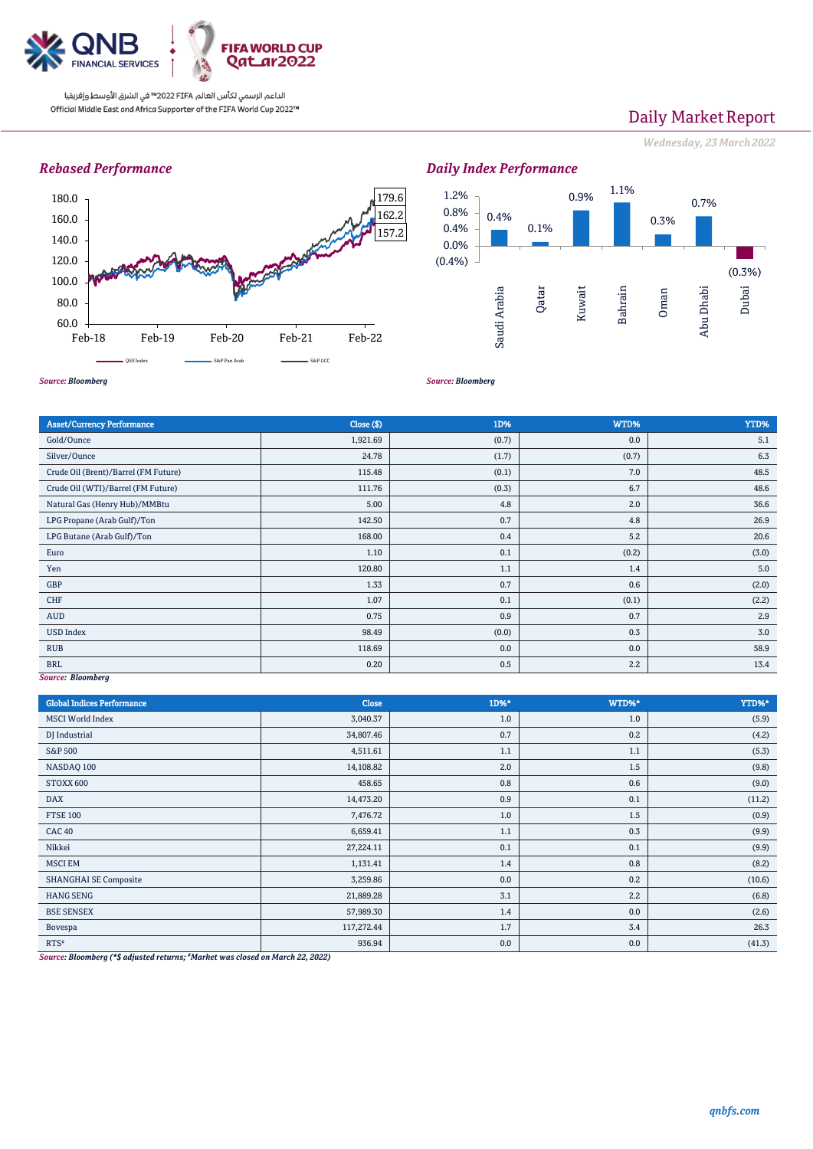

## Daily Market Report

*Wednesday, 23 March2022*

### *Rebased Performance*



#### 0.4% 0.1% 0.9% 1.1% 0.3% 0.7% (0.3%) (0.4%) 0.0% 0.4% 0.8% 1.2% Saudi Arabia Qatar Kuwait Bahrain Oman Abu Dhabi Dubai

*Source: Bloomberg*

*Source: Bloomberg*

*Daily Index Performance*

| Close ( \$) | 1D%   | WTD%  | YTD%  |
|-------------|-------|-------|-------|
| 1,921.69    | (0.7) | 0.0   | 5.1   |
| 24.78       | (1.7) | (0.7) | 6.3   |
| 115.48      | (0.1) | 7.0   | 48.5  |
| 111.76      | (0.3) | 6.7   | 48.6  |
| 5.00        | 4.8   | 2.0   | 36.6  |
| 142.50      | 0.7   | 4.8   | 26.9  |
| 168.00      | 0.4   | 5.2   | 20.6  |
| 1.10        | 0.1   | (0.2) | (3.0) |
| 120.80      | 1.1   | 1.4   | 5.0   |
| 1.33        | 0.7   | 0.6   | (2.0) |
| 1.07        | 0.1   | (0.1) | (2.2) |
| 0.75        | 0.9   | 0.7   | 2.9   |
| 98.49       | (0.0) | 0.3   | 3.0   |
| 118.69      | 0.0   | 0.0   | 58.9  |
| 0.20        | 0.5   | 2.2   | 13.4  |
|             |       |       |       |

#### *Source: Bloomberg*

| <b>Global Indices Performance</b> | <b>Close</b> | 1D%* | WTD%* | YTD%*  |
|-----------------------------------|--------------|------|-------|--------|
| <b>MSCI</b> World Index           | 3,040.37     | 1.0  | 1.0   | (5.9)  |
| DJ Industrial                     | 34,807.46    | 0.7  | 0.2   | (4.2)  |
| S&P 500                           | 4,511.61     | 1.1  | 1.1   | (5.3)  |
| NASDAQ 100                        | 14,108.82    | 2.0  | 1.5   | (9.8)  |
| STOXX 600                         | 458.65       | 0.8  | 0.6   | (9.0)  |
| <b>DAX</b>                        | 14,473.20    | 0.9  | 0.1   | (11.2) |
| <b>FTSE 100</b>                   | 7,476.72     | 1.0  | 1.5   | (0.9)  |
| <b>CAC 40</b>                     | 6,659.41     | 1.1  | 0.3   | (9.9)  |
| Nikkei                            | 27,224.11    | 0.1  | 0.1   | (9.9)  |
| <b>MSCI EM</b>                    | 1,131.41     | 1.4  | 0.8   | (8.2)  |
| <b>SHANGHAI SE Composite</b>      | 3,259.86     | 0.0  | 0.2   | (10.6) |
| <b>HANG SENG</b>                  | 21,889.28    | 3.1  | 2.2   | (6.8)  |
| <b>BSE SENSEX</b>                 | 57,989.30    | 1.4  | 0.0   | (2.6)  |
| Bovespa                           | 117,272.44   | 1.7  | 3.4   | 26.3   |
| $RTS^*$                           | 936.94       | 0.0  | 0.0   | (41.3) |

*Source: Bloomberg (\*\$ adjusted returns; #Market was closed on March 22, 2022)*